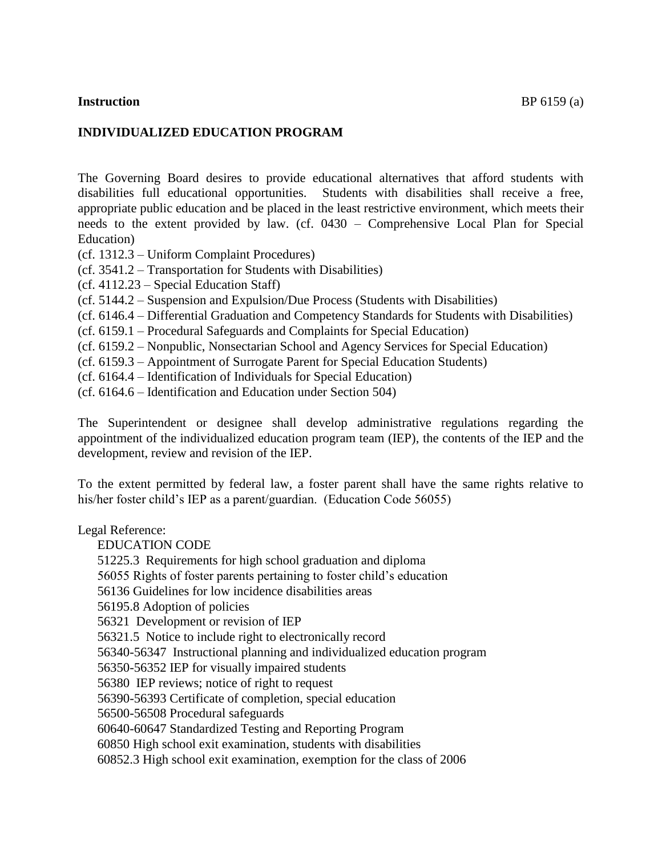#### **Instruction** BP 6159 (a)

## **INDIVIDUALIZED EDUCATION PROGRAM**

The Governing Board desires to provide educational alternatives that afford students with disabilities full educational opportunities. Students with disabilities shall receive a free, appropriate public education and be placed in the least restrictive environment, which meets their needs to the extent provided by law. (cf. 0430 – Comprehensive Local Plan for Special Education)

- (cf. 1312.3 Uniform Complaint Procedures)
- (cf. 3541.2 Transportation for Students with Disabilities)
- (cf. 4112.23 Special Education Staff)
- (cf. 5144.2 Suspension and Expulsion/Due Process (Students with Disabilities)
- (cf. 6146.4 Differential Graduation and Competency Standards for Students with Disabilities)
- (cf. 6159.1 Procedural Safeguards and Complaints for Special Education)
- (cf. 6159.2 Nonpublic, Nonsectarian School and Agency Services for Special Education)
- (cf. 6159.3 Appointment of Surrogate Parent for Special Education Students)
- (cf. 6164.4 Identification of Individuals for Special Education)
- (cf. 6164.6 Identification and Education under Section 504)

The Superintendent or designee shall develop administrative regulations regarding the appointment of the individualized education program team (IEP), the contents of the IEP and the development, review and revision of the IEP.

To the extent permitted by federal law, a foster parent shall have the same rights relative to his/her foster child's IEP as a parent/guardian. (Education Code 56055)

Legal Reference:

EDUCATION CODE

51225.3 Requirements for high school graduation and diploma

56055 Rights of foster parents pertaining to foster child's education

56136 Guidelines for low incidence disabilities areas

56195.8 Adoption of policies

56321 Development or revision of IEP

56321.5 Notice to include right to electronically record

56340-56347 Instructional planning and individualized education program

56350-56352 IEP for visually impaired students

56380 IEP reviews; notice of right to request

56390-56393 Certificate of completion, special education

56500-56508 Procedural safeguards

60640-60647 Standardized Testing and Reporting Program

60850 High school exit examination, students with disabilities

[60852.3](http://www.gamutonline.net/displayPolicy/390888/6) High school exit examination, exemption for the class of 2006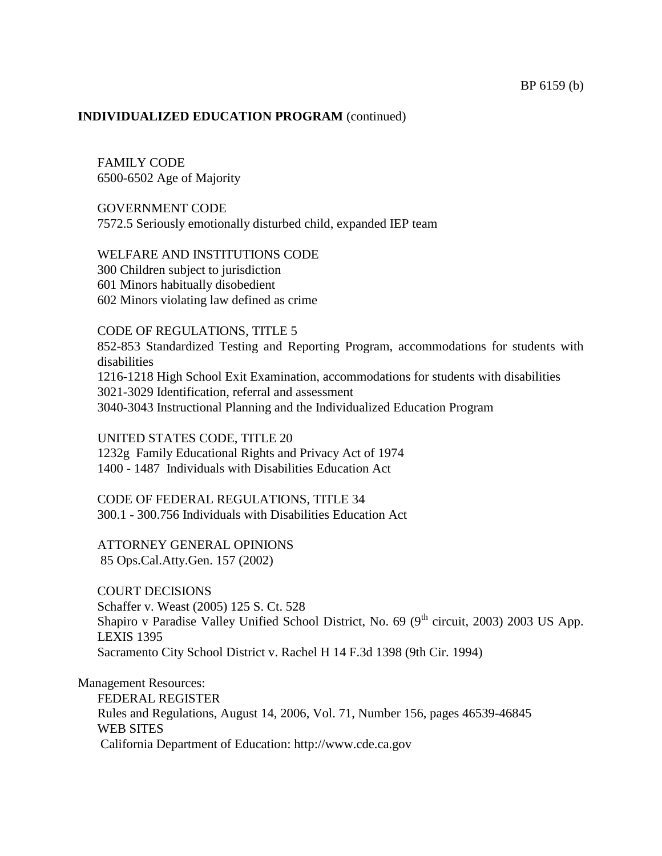## FAMILY CODE 6500-6502 Age of Majority

GOVERNMENT CODE 7572.5 Seriously emotionally disturbed child, expanded IEP team

#### WELFARE AND INSTITUTIONS CODE

300 Children subject to jurisdiction 601 Minors habitually disobedient 602 Minors violating law defined as crime

#### CODE OF REGULATIONS, TITLE 5

852-853 Standardized Testing and Reporting Program, accommodations for students with disabilities 1216-1218 High School Exit Examination, accommodations for students with disabilities 3021-3029 Identification, referral and assessment

3040-3043 Instructional Planning and the Individualized Education Program

#### UNITED STATES CODE, TITLE 20

1232g Family Educational Rights and Privacy Act of 1974 1400 - 1487 Individuals with Disabilities Education Act

#### CODE OF FEDERAL REGULATIONS, TITLE 34 300.1 - 300.756 Individuals with Disabilities Education Act

ATTORNEY GENERAL OPINIONS 85 Ops.Cal.Atty.Gen. 157 (2002)

COURT DECISIONS Schaffer v. Weast (2005) 125 S. Ct. 528 Shapiro v Paradise Valley Unified School District, No. 69 (9<sup>th</sup> circuit, 2003) 2003 US App. LEXIS 1395 Sacramento City School District v. Rachel H 14 F.3d 1398 (9th Cir. 1994)

Management Resources: FEDERAL REGISTER Rules and Regulations, August 14, 2006, Vol. 71, Number 156, pages 46539-46845 WEB SITES California Department of Education: [http://www.cde.ca.gov](http://www.cde.ca.gov/)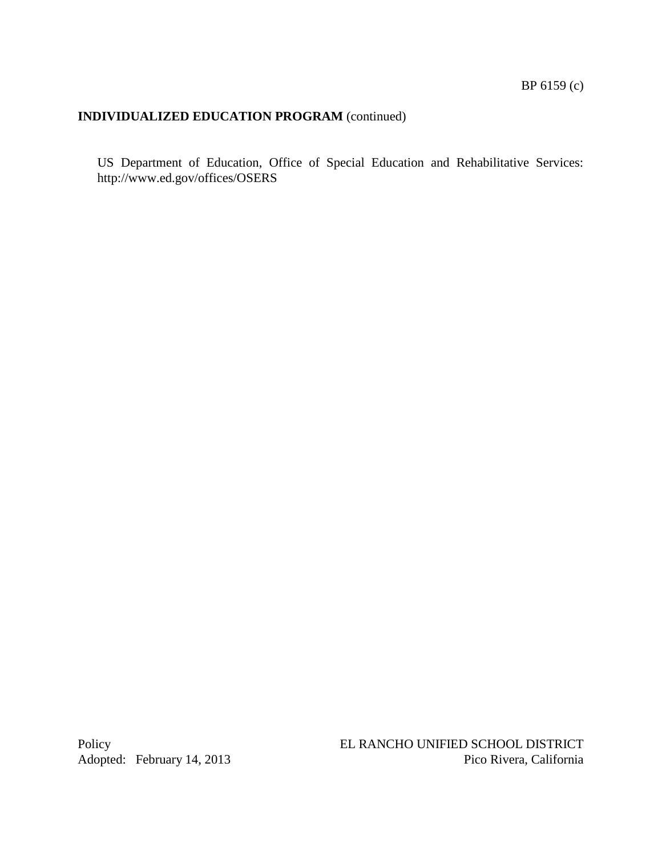US Department of Education, Office of Special Education and Rehabilitative Services: <http://www.ed.gov/offices/OSERS>

Adopted: February 14, 2013

Policy<br>
EL RANCHO UNIFIED SCHOOL DISTRICT<br>
Pico Rivera, California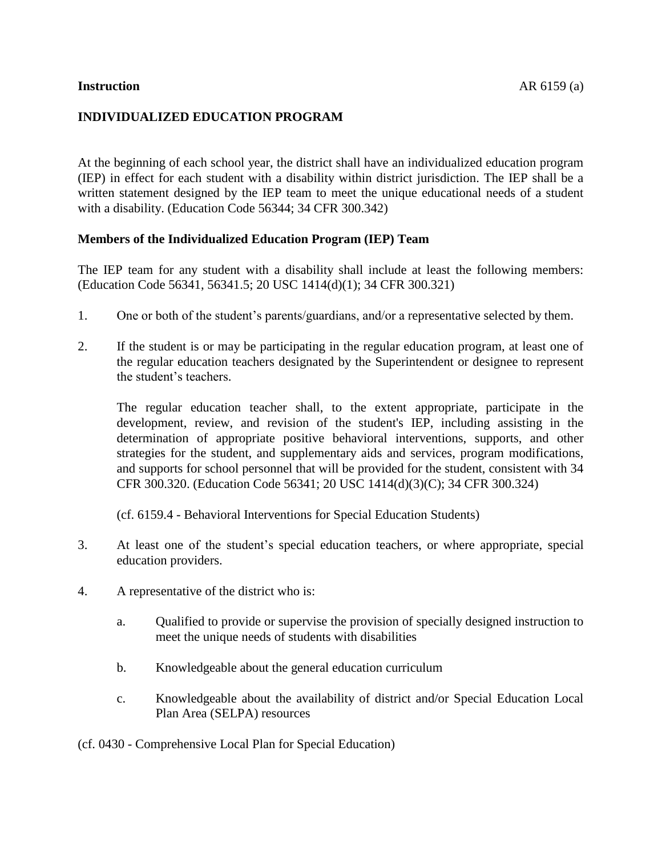## **INDIVIDUALIZED EDUCATION PROGRAM**

At the beginning of each school year, the district shall have an individualized education program (IEP) in effect for each student with a disability within district jurisdiction. The IEP shall be a written statement designed by the IEP team to meet the unique educational needs of a student with a disability. (Education Code [56344;](http://www.gamutonline.net/displayPolicy/133471/6) 34 CFR 300.342)

#### **Members of the Individualized Education Program (IEP) Team**

The IEP team for any student with a disability shall include at least the following members: (Education Code [56341,](http://www.gamutonline.net/displayPolicy/133469/6) [56341.5;](http://www.gamutonline.net/displayPolicy/138032/6) 20 USC [1414\(](http://www.gamutonline.net/displayPolicy/364373/6)d)(1); 34 CFR [300.321\)](http://www.gamutonline.net/displayPolicy/421113/6)

- 1. One or both of the student's parents/guardians, and/or a representative selected by them.
- 2. If the student is or may be participating in the regular education program, at least one of the regular education teachers designated by the Superintendent or designee to represent the student's teachers.

The regular education teacher shall, to the extent appropriate, participate in the development, review, and revision of the student's IEP, including assisting in the determination of appropriate positive behavioral interventions, supports, and other strategies for the student, and supplementary aids and services, program modifications, and supports for school personnel that will be provided for the student, consistent with 34 CFR [300.320.](http://www.gamutonline.net/displayPolicy/421112/6) (Education Code [56341;](http://www.gamutonline.net/displayPolicy/133469/6) 20 USC [1414\(](http://www.gamutonline.net/displayPolicy/364373/6)d)(3)(C); 34 CFR [300.324\)](http://www.gamutonline.net/displayPolicy/421116/6)

(cf. [6159.4](http://www.gamutonline.net/displayPolicy/171708/6) - Behavioral Interventions for Special Education Students)

- 3. At least one of the student's special education teachers, or where appropriate, special education providers.
- 4. A representative of the district who is:
	- a. Qualified to provide or supervise the provision of specially designed instruction to meet the unique needs of students with disabilities
	- b. Knowledgeable about the general education curriculum
	- c. Knowledgeable about the availability of district and/or Special Education Local Plan Area (SELPA) resources

(cf. 0430 - Comprehensive Local Plan for Special Education)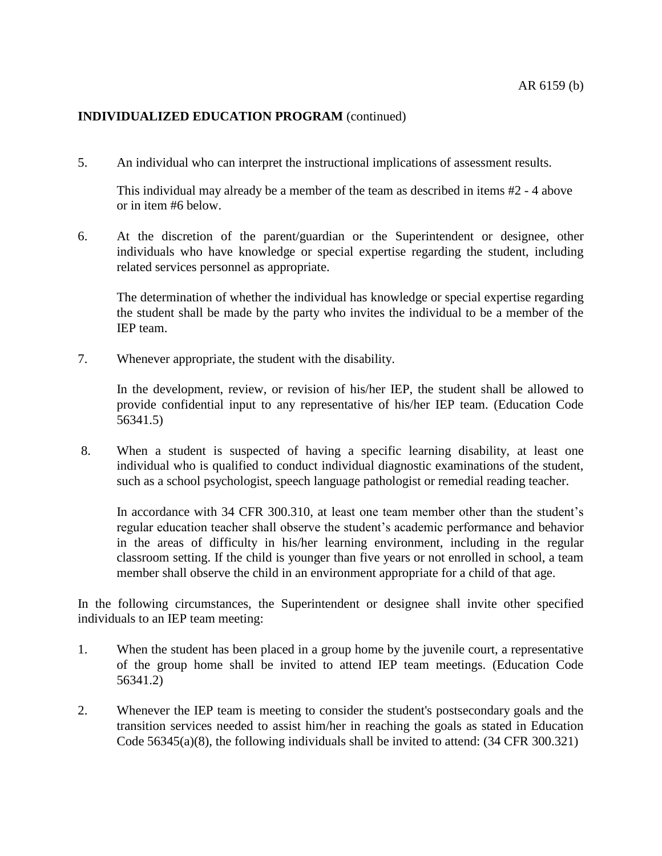5. An individual who can interpret the instructional implications of assessment results.

This individual may already be a member of the team as described in items #2 - 4 above or in item #6 below.

6. At the discretion of the parent/guardian or the Superintendent or designee, other individuals who have knowledge or special expertise regarding the student, including related services personnel as appropriate.

The determination of whether the individual has knowledge or special expertise regarding the student shall be made by the party who invites the individual to be a member of the IEP team.

7. Whenever appropriate, the student with the disability.

In the development, review, or revision of his/her IEP, the student shall be allowed to provide confidential input to any representative of his/her IEP team. (Education Code [56341.5\)](http://www.gamutonline.net/displayPolicy/138032/6)

8. When a student is suspected of having a specific learning disability, at least one individual who is qualified to conduct individual diagnostic examinations of the student, such as a school psychologist, speech language pathologist or remedial reading teacher.

In accordance with 34 CFR [300.310,](http://www.gamutonline.net/displayPolicy/421110/6) at least one team member other than the student's regular education teacher shall observe the student's academic performance and behavior in the areas of difficulty in his/her learning environment, including in the regular classroom setting. If the child is younger than five years or not enrolled in school, a team member shall observe the child in an environment appropriate for a child of that age.

In the following circumstances, the Superintendent or designee shall invite other specified individuals to an IEP team meeting:

- 1. When the student has been placed in a group home by the juvenile court, a representative of the group home shall be invited to attend IEP team meetings. (Education Code [56341.2\)](http://www.gamutonline.net/displayPolicy/315533/6)
- 2. Whenever the IEP team is meeting to consider the student's postsecondary goals and the transition services needed to assist him/her in reaching the goals as stated in Education Code [56345\(](http://www.gamutonline.net/displayPolicy/138035/6)a)(8), the following individuals shall be invited to attend: (34 CFR [300.321\)](http://www.gamutonline.net/displayPolicy/421113/6)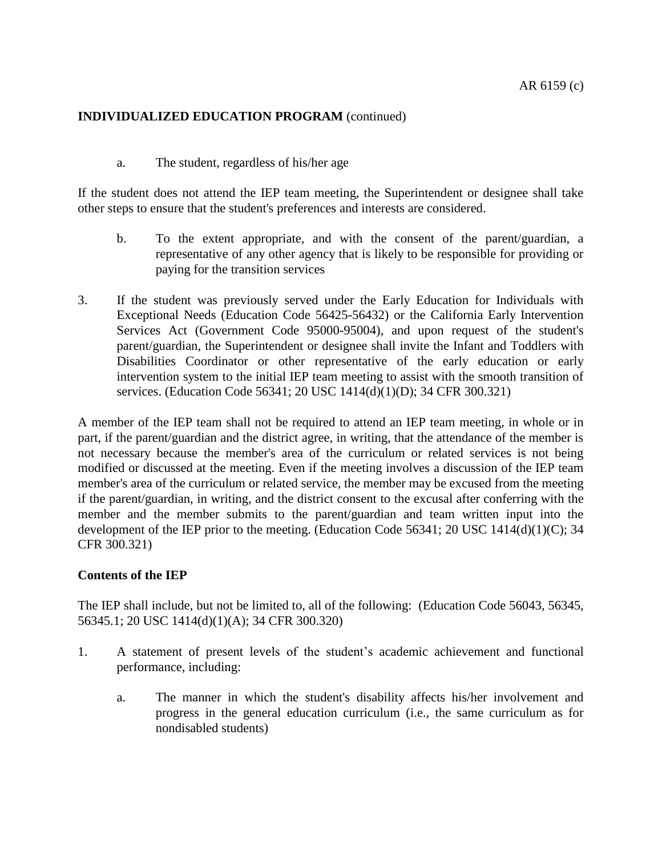a. The student, regardless of his/her age

If the student does not attend the IEP team meeting, the Superintendent or designee shall take other steps to ensure that the student's preferences and interests are considered.

- b. To the extent appropriate, and with the consent of the parent/guardian, a representative of any other agency that is likely to be responsible for providing or paying for the transition services
- 3. If the student was previously served under the Early Education for Individuals with Exceptional Needs (Education Code [56425-](http://www.gamutonline.net/displayPolicy/137546/6)[56432\)](http://www.gamutonline.net/displayPolicy/137555/6) or the California Early Intervention Services Act (Government Code [95000](http://www.gamutonline.net/displayPolicy/146614/6)[-95004\)](http://www.gamutonline.net/displayPolicy/292748/6), and upon request of the student's parent/guardian, the Superintendent or designee shall invite the Infant and Toddlers with Disabilities Coordinator or other representative of the early education or early intervention system to the initial IEP team meeting to assist with the smooth transition of services. (Education Code [56341;](http://www.gamutonline.net/displayPolicy/133469/6) 20 USC [1414\(](http://www.gamutonline.net/displayPolicy/364373/6)d)(1)(D); 34 CFR [300.321\)](http://www.gamutonline.net/displayPolicy/421113/6)

A member of the IEP team shall not be required to attend an IEP team meeting, in whole or in part, if the parent/guardian and the district agree, in writing, that the attendance of the member is not necessary because the member's area of the curriculum or related services is not being modified or discussed at the meeting. Even if the meeting involves a discussion of the IEP team member's area of the curriculum or related service, the member may be excused from the meeting if the parent/guardian, in writing, and the district consent to the excusal after conferring with the member and the member submits to the parent/guardian and team written input into the development of the IEP prior to the meeting. (Education Code [56341;](http://www.gamutonline.net/displayPolicy/133469/6) 20 USC [1414\(](http://www.gamutonline.net/displayPolicy/364373/6)d)(1)(C); 34 CFR [300.321\)](http://www.gamutonline.net/displayPolicy/421113/6)

#### **Contents of the IEP**

The IEP shall include, but not be limited to, all of the following: (Education Code [56043,](http://www.gamutonline.net/displayPolicy/388012/6) [56345,](http://www.gamutonline.net/displayPolicy/138035/6) [56345.1;](http://www.gamutonline.net/displayPolicy/138036/6) 20 USC [1414\(](http://www.gamutonline.net/displayPolicy/364373/6)d)(1)(A); 34 CFR [300.320\)](http://www.gamutonline.net/displayPolicy/421112/6)

- 1. A statement of present levels of the student's academic achievement and functional performance, including:
	- a. The manner in which the student's disability affects his/her involvement and progress in the general education curriculum (i.e., the same curriculum as for nondisabled students)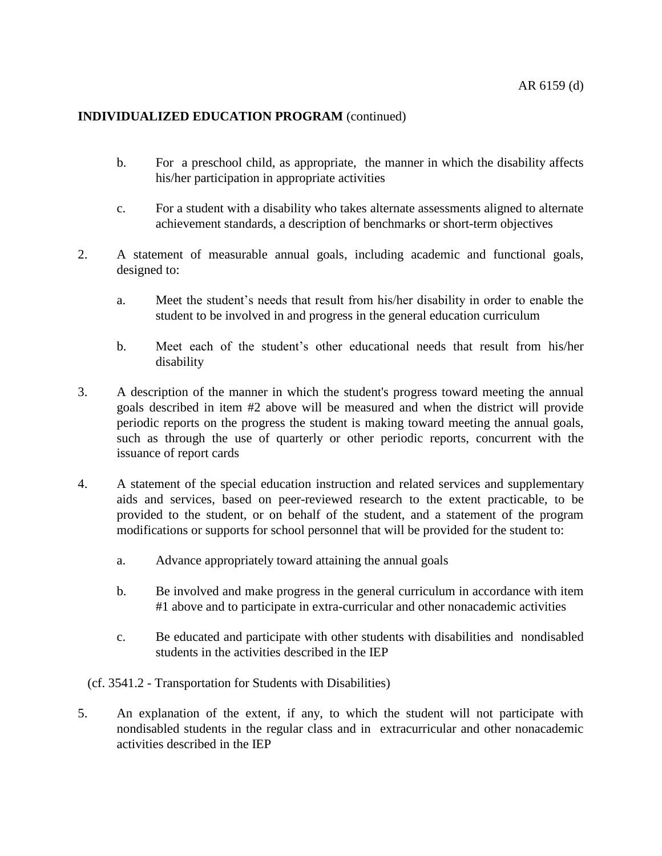- b. For a preschool child, as appropriate, the manner in which the disability affects his/her participation in appropriate activities
- c. For a student with a disability who takes alternate assessments aligned to alternate achievement standards, a description of benchmarks or short-term objectives
- 2. A statement of measurable annual goals, including academic and functional goals, designed to:
	- a. Meet the student's needs that result from his/her disability in order to enable the student to be involved in and progress in the general education curriculum
	- b. Meet each of the student's other educational needs that result from his/her disability
- 3. A description of the manner in which the student's progress toward meeting the annual goals described in item #2 above will be measured and when the district will provide periodic reports on the progress the student is making toward meeting the annual goals, such as through the use of quarterly or other periodic reports, concurrent with the issuance of report cards
- 4. A statement of the special education instruction and related services and supplementary aids and services, based on peer-reviewed research to the extent practicable, to be provided to the student, or on behalf of the student, and a statement of the program modifications or supports for school personnel that will be provided for the student to:
	- a. Advance appropriately toward attaining the annual goals
	- b. Be involved and make progress in the general curriculum in accordance with item #1 above and to participate in extra-curricular and other nonacademic activities
	- c. Be educated and participate with other students with disabilities and nondisabled students in the activities described in the IEP

#### (cf. 3541.2 - Transportation for Students with Disabilities)

5. An explanation of the extent, if any, to which the student will not participate with nondisabled students in the regular class and in extracurricular and other nonacademic activities described in the IEP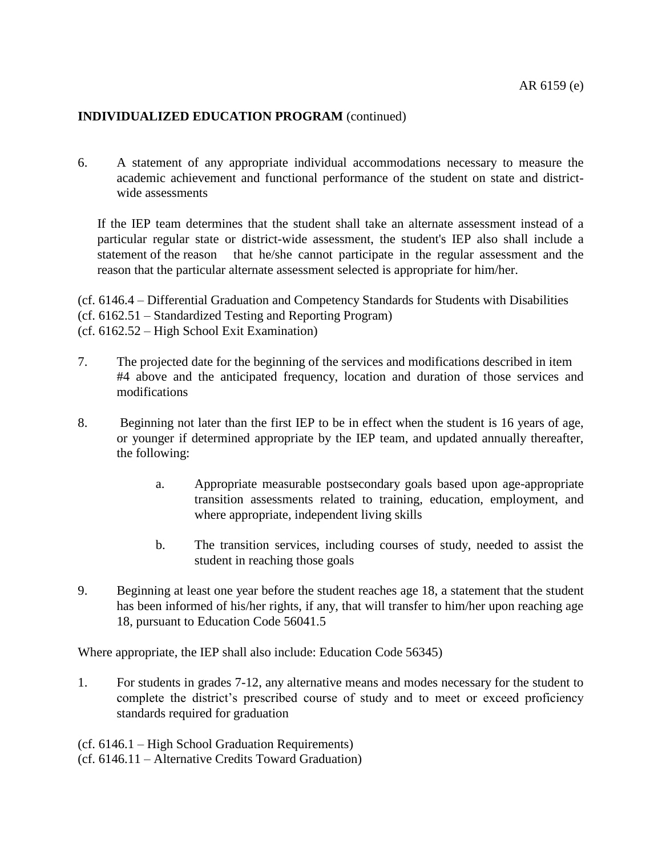6. A statement of any appropriate individual accommodations necessary to measure the academic achievement and functional performance of the student on state and districtwide assessments

If the IEP team determines that the student shall take an alternate assessment instead of a particular regular state or district-wide assessment, the student's IEP also shall include a statement of the reason that he/she cannot participate in the regular assessment and the reason that the particular alternate assessment selected is appropriate for him/her.

(cf. 6146.4 – Differential Graduation and Competency Standards for Students with Disabilities (cf. 6162.51 – Standardized Testing and Reporting Program) (cf. 6162.52 – High School Exit Examination)

- 7. The projected date for the beginning of the services and modifications described in item #4 above and the anticipated frequency, location and duration of those services and modifications
- 8. Beginning not later than the first IEP to be in effect when the student is 16 years of age, or younger if determined appropriate by the IEP team, and updated annually thereafter, the following:
	- a. Appropriate measurable postsecondary goals based upon age-appropriate transition assessments related to training, education, employment, and where appropriate, independent living skills
	- b. The transition services, including courses of study, needed to assist the student in reaching those goals
- 9. Beginning at least one year before the student reaches age 18, a statement that the student has been informed of his/her rights, if any, that will transfer to him/her upon reaching age 18, pursuant to Education Code [56041.5](http://www.gamutonline.net/displayPolicy/138014/6)

Where appropriate, the IEP shall also include: Education Code 56345)

1. For students in grades 7-12, any alternative means and modes necessary for the student to complete the district's prescribed course of study and to meet or exceed proficiency standards required for graduation

(cf. 6146.1 – High School Graduation Requirements) (cf. 6146.11 – Alternative Credits Toward Graduation)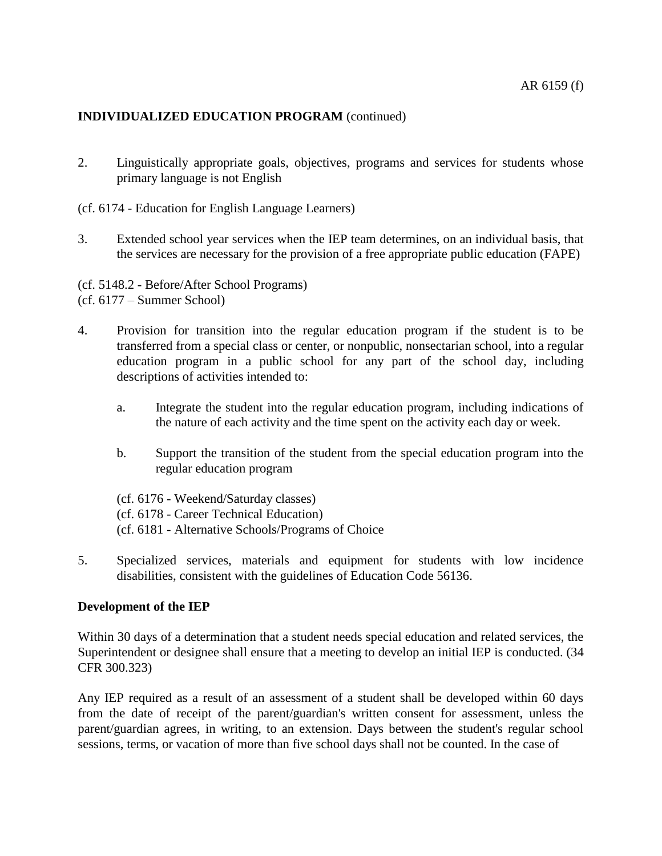- 2. Linguistically appropriate goals, objectives, programs and services for students whose primary language is not English
- (cf. [6174](http://www.gamutonline.net/displayPolicy/288783/6) Education for English Language Learners)
- 3. Extended school year services when the IEP team determines, on an individual basis, that the services are necessary for the provision of a free appropriate public education (FAPE)
- (cf. [5148.2](http://www.gamutonline.net/displayPolicy/395596/6) Before/After School Programs) (cf. 6177 – Summer School)
- 4. Provision for transition into the regular education program if the student is to be transferred from a special class or center, or nonpublic, nonsectarian school, into a regular education program in a public school for any part of the school day, including descriptions of activities intended to:
	- a. Integrate the student into the regular education program, including indications of the nature of each activity and the time spent on the activity each day or week.
	- b. Support the transition of the student from the special education program into the regular education program
	- (cf. 6176 Weekend/Saturday classes) (cf. 6178 - Career Technical Education) (cf. 6181 - Alternative Schools/Programs of Choice
- 5. Specialized services, materials and equipment for students with low incidence disabilities, consistent with the guidelines of Education Code 56136.

#### **Development of the IEP**

Within 30 days of a determination that a student needs special education and related services, the Superintendent or designee shall ensure that a meeting to develop an initial IEP is conducted. (34 CFR [300.323\)](http://www.gamutonline.net/displayPolicy/421115/6)

Any IEP required as a result of an assessment of a student shall be developed within 60 days from the date of receipt of the parent/guardian's written consent for assessment, unless the parent/guardian agrees, in writing, to an extension. Days between the student's regular school sessions, terms, or vacation of more than five school days shall not be counted. In the case of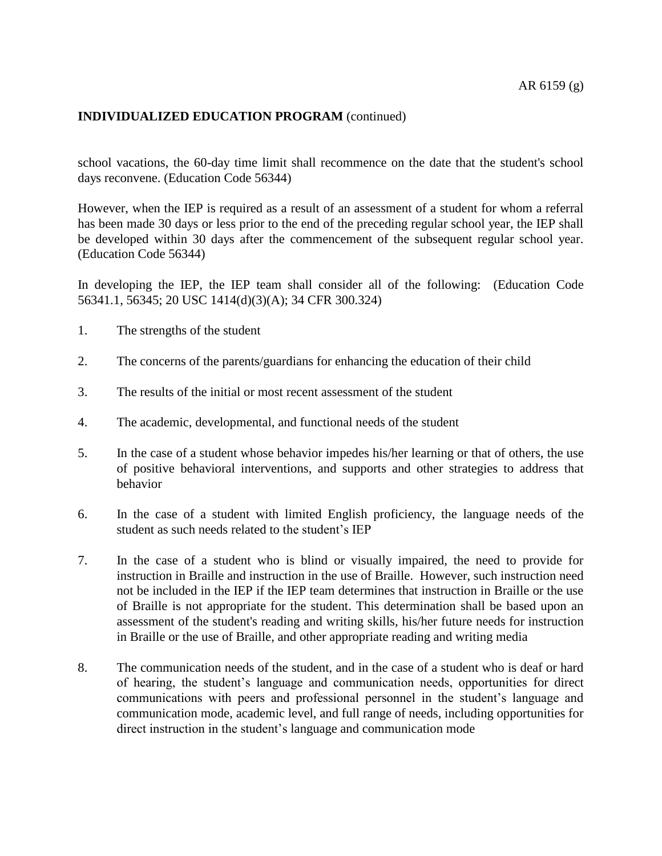school vacations, the 60-day time limit shall recommence on the date that the student's school days reconvene. (Education Code [56344\)](http://www.gamutonline.net/displayPolicy/133471/6)

However, when the IEP is required as a result of an assessment of a student for whom a referral has been made 30 days or less prior to the end of the preceding regular school year, the IEP shall be developed within 30 days after the commencement of the subsequent regular school year. (Education Code [56344\)](http://www.gamutonline.net/displayPolicy/133471/6)

In developing the IEP, the IEP team shall consider all of the following: (Education Code [56341.1,](http://www.gamutonline.net/displayPolicy/249036/6) [56345;](http://www.gamutonline.net/displayPolicy/138035/6) 20 USC [1414\(](http://www.gamutonline.net/displayPolicy/364373/6)d)(3)(A); 34 CFR [300.324\)](http://www.gamutonline.net/displayPolicy/421116/6)

- 1. The strengths of the student
- 2. The concerns of the parents/guardians for enhancing the education of their child
- 3. The results of the initial or most recent assessment of the student
- 4. The academic, developmental, and functional needs of the student
- 5. In the case of a student whose behavior impedes his/her learning or that of others, the use of positive behavioral interventions, and supports and other strategies to address that behavior
- 6. In the case of a student with limited English proficiency, the language needs of the student as such needs related to the student's IEP
- 7. In the case of a student who is blind or visually impaired, the need to provide for instruction in Braille and instruction in the use of Braille. However, such instruction need not be included in the IEP if the IEP team determines that instruction in Braille or the use of Braille is not appropriate for the student. This determination shall be based upon an assessment of the student's reading and writing skills, his/her future needs for instruction in Braille or the use of Braille, and other appropriate reading and writing media
- 8. The communication needs of the student, and in the case of a student who is deaf or hard of hearing, the student's language and communication needs, opportunities for direct communications with peers and professional personnel in the student's language and communication mode, academic level, and full range of needs, including opportunities for direct instruction in the student's language and communication mode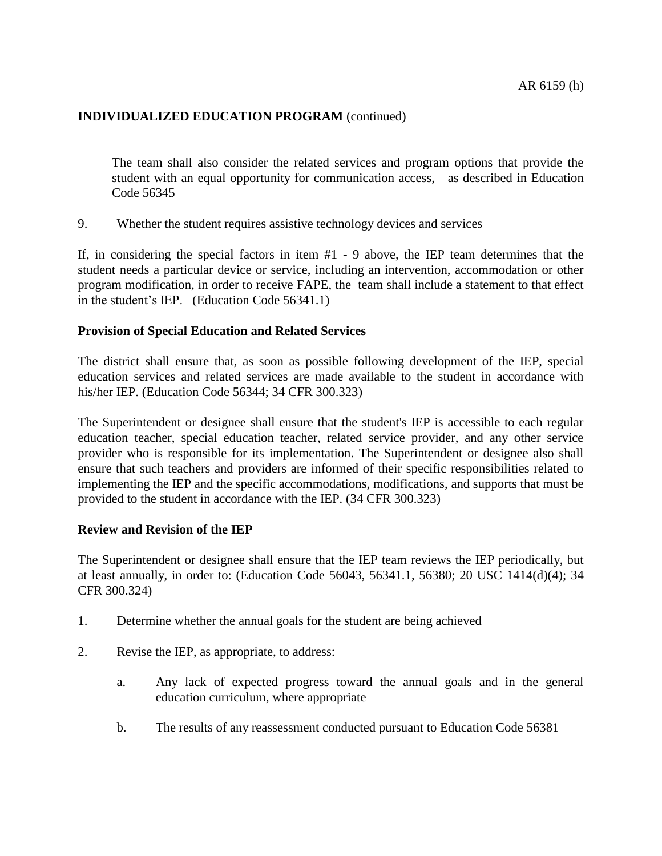The team shall also consider the related services and program options that provide the student with an equal opportunity for communication access, as described in Education Code 56345

9. Whether the student requires assistive technology devices and services

If, in considering the special factors in item #1 - 9 above, the IEP team determines that the student needs a particular device or service, including an intervention, accommodation or other program modification, in order to receive FAPE, the team shall include a statement to that effect in the student's IEP. (Education Code 56341.1)

#### **Provision of Special Education and Related Services**

The district shall ensure that, as soon as possible following development of the IEP, special education services and related services are made available to the student in accordance with his/her IEP. (Education Code [56344;](http://www.gamutonline.net/displayPolicy/133471/6) 34 CFR [300.323\)](http://www.gamutonline.net/displayPolicy/421115/6)

The Superintendent or designee shall ensure that the student's IEP is accessible to each regular education teacher, special education teacher, related service provider, and any other service provider who is responsible for its implementation. The Superintendent or designee also shall ensure that such teachers and providers are informed of their specific responsibilities related to implementing the IEP and the specific accommodations, modifications, and supports that must be provided to the student in accordance with the IEP. (34 CFR [300.323\)](http://www.gamutonline.net/displayPolicy/421115/6)

#### **Review and Revision of the IEP**

The Superintendent or designee shall ensure that the IEP team reviews the IEP periodically, but at least annually, in order to: (Education Code [56043,](http://www.gamutonline.net/displayPolicy/388012/6) [56341.1,](http://www.gamutonline.net/displayPolicy/249036/6) [56380;](http://www.gamutonline.net/displayPolicy/133491/6) 20 USC [1414\(](http://www.gamutonline.net/displayPolicy/364373/6)d)(4); 34 CFR [300.324\)](http://www.gamutonline.net/displayPolicy/421116/6)

- 1. Determine whether the annual goals for the student are being achieved
- 2. Revise the IEP, as appropriate, to address:
	- a. Any lack of expected progress toward the annual goals and in the general education curriculum, where appropriate
	- b. The results of any reassessment conducted pursuant to Education Code [56381](http://www.gamutonline.net/displayPolicy/138044/6)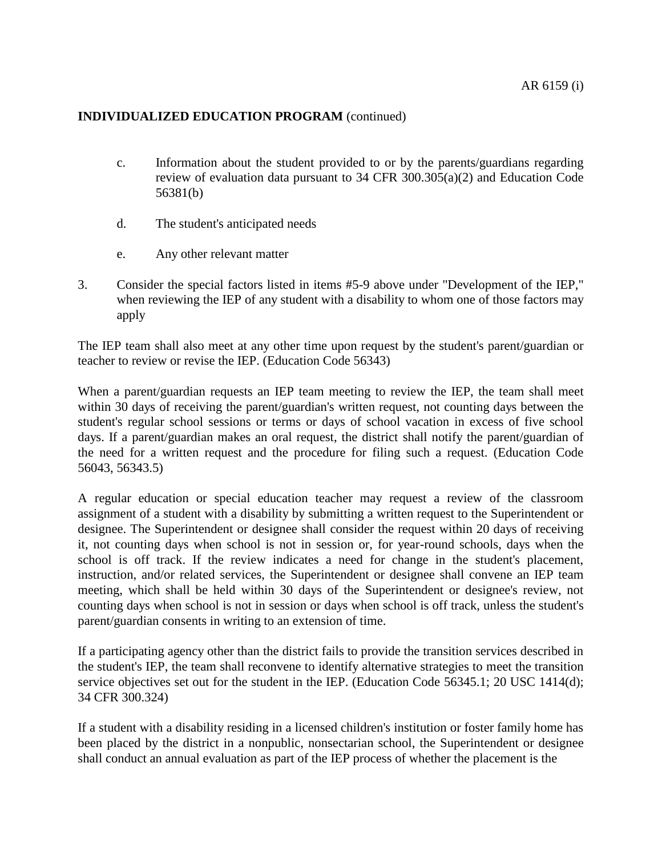- c. Information about the student provided to or by the parents/guardians regarding review of evaluation data pursuant to 34 CFR [300.305\(](http://www.gamutonline.net/displayPolicy/421105/6)a)(2) and Education Code [56381\(](http://www.gamutonline.net/displayPolicy/138044/6)b)
- d. The student's anticipated needs
- e. Any other relevant matter
- 3. Consider the special factors listed in items #5-9 above under "Development of the IEP," when reviewing the IEP of any student with a disability to whom one of those factors may apply

The IEP team shall also meet at any other time upon request by the student's parent/guardian or teacher to review or revise the IEP. (Education Code [56343\)](http://www.gamutonline.net/displayPolicy/138034/6)

When a parent/guardian requests an IEP team meeting to review the IEP, the team shall meet within 30 days of receiving the parent/guardian's written request, not counting days between the student's regular school sessions or terms or days of school vacation in excess of five school days. If a parent/guardian makes an oral request, the district shall notify the parent/guardian of the need for a written request and the procedure for filing such a request. (Education Code [56043,](http://www.gamutonline.net/displayPolicy/388012/6) [56343.5\)](http://www.gamutonline.net/displayPolicy/133470/6)

A regular education or special education teacher may request a review of the classroom assignment of a student with a disability by submitting a written request to the Superintendent or designee. The Superintendent or designee shall consider the request within 20 days of receiving it, not counting days when school is not in session or, for year-round schools, days when the school is off track. If the review indicates a need for change in the student's placement, instruction, and/or related services, the Superintendent or designee shall convene an IEP team meeting, which shall be held within 30 days of the Superintendent or designee's review, not counting days when school is not in session or days when school is off track, unless the student's parent/guardian consents in writing to an extension of time.

If a participating agency other than the district fails to provide the transition services described in the student's IEP, the team shall reconvene to identify alternative strategies to meet the transition service objectives set out for the student in the IEP. (Education Code [56345.1;](http://www.gamutonline.net/displayPolicy/138036/6) 20 USC [1414\(](http://www.gamutonline.net/displayPolicy/364373/6)d); 34 CFR [300.324\)](http://www.gamutonline.net/displayPolicy/421116/6)

If a student with a disability residing in a licensed children's institution or foster family home has been placed by the district in a nonpublic, nonsectarian school, the Superintendent or designee shall conduct an annual evaluation as part of the IEP process of whether the placement is the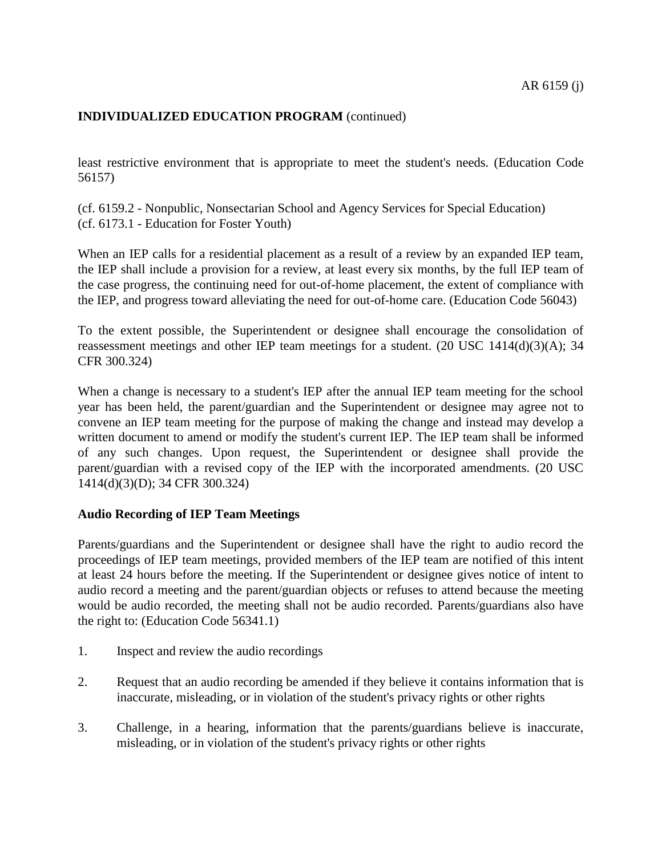least restrictive environment that is appropriate to meet the student's needs. (Education Code [56157\)](http://www.gamutonline.net/displayPolicy/133428/6)

(cf. [6159.2](http://www.gamutonline.net/displayPolicy/171704/6) - Nonpublic, Nonsectarian School and Agency Services for Special Education) (cf. [6173.1](http://www.gamutonline.net/displayPolicy/324915/6) - Education for Foster Youth)

When an IEP calls for a residential placement as a result of a review by an expanded IEP team, the IEP shall include a provision for a review, at least every six months, by the full IEP team of the case progress, the continuing need for out-of-home placement, the extent of compliance with the IEP, and progress toward alleviating the need for out-of-home care. (Education Code [56043\)](http://www.gamutonline.net/displayPolicy/388012/6)

To the extent possible, the Superintendent or designee shall encourage the consolidation of reassessment meetings and other IEP team meetings for a student. (20 USC [1414\(](http://www.gamutonline.net/displayPolicy/364373/6)d)(3)(A); 34 CFR [300.324\)](http://www.gamutonline.net/displayPolicy/421116/6)

When a change is necessary to a student's IEP after the annual IEP team meeting for the school year has been held, the parent/guardian and the Superintendent or designee may agree not to convene an IEP team meeting for the purpose of making the change and instead may develop a written document to amend or modify the student's current IEP. The IEP team shall be informed of any such changes. Upon request, the Superintendent or designee shall provide the parent/guardian with a revised copy of the IEP with the incorporated amendments. (20 USC [1414\(](http://www.gamutonline.net/displayPolicy/364373/6)d)(3)(D); 34 CFR [300.324\)](http://www.gamutonline.net/displayPolicy/421116/6)

#### **Audio Recording of IEP Team Meetings**

Parents/guardians and the Superintendent or designee shall have the right to audio record the proceedings of IEP team meetings, provided members of the IEP team are notified of this intent at least 24 hours before the meeting. If the Superintendent or designee gives notice of intent to audio record a meeting and the parent/guardian objects or refuses to attend because the meeting would be audio recorded, the meeting shall not be audio recorded. Parents/guardians also have the right to: (Education Code [56341.1\)](http://www.gamutonline.net/displayPolicy/249036/6)

- 1. Inspect and review the audio recordings
- 2. Request that an audio recording be amended if they believe it contains information that is inaccurate, misleading, or in violation of the student's privacy rights or other rights
- 3. Challenge, in a hearing, information that the parents/guardians believe is inaccurate, misleading, or in violation of the student's privacy rights or other rights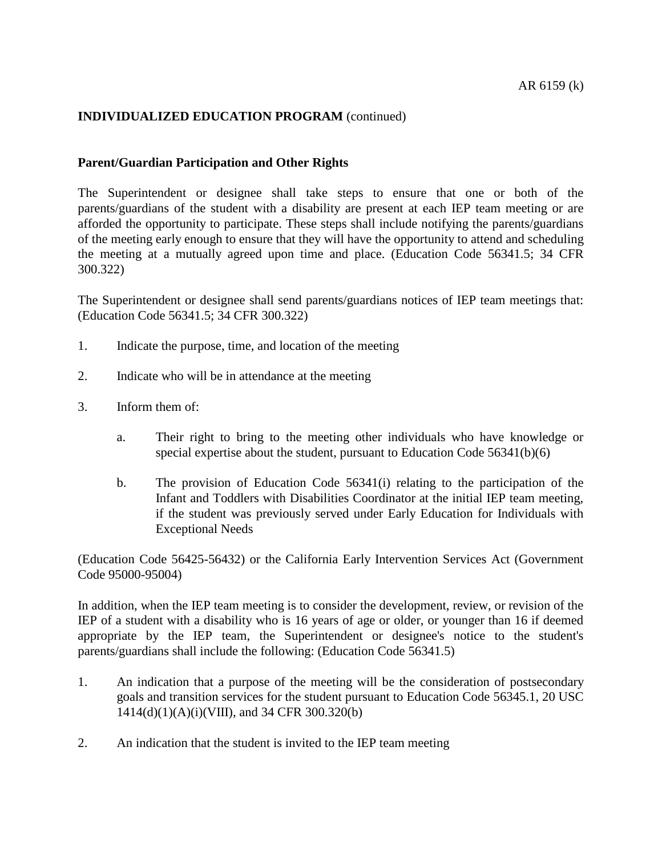#### **Parent/Guardian Participation and Other Rights**

The Superintendent or designee shall take steps to ensure that one or both of the parents/guardians of the student with a disability are present at each IEP team meeting or are afforded the opportunity to participate. These steps shall include notifying the parents/guardians of the meeting early enough to ensure that they will have the opportunity to attend and scheduling the meeting at a mutually agreed upon time and place. (Education Code [56341.5;](http://www.gamutonline.net/displayPolicy/138032/6) 34 CFR [300.322\)](http://www.gamutonline.net/displayPolicy/421114/6)

The Superintendent or designee shall send parents/guardians notices of IEP team meetings that: (Education Code [56341.5;](http://www.gamutonline.net/displayPolicy/138032/6) 34 CFR [300.322\)](http://www.gamutonline.net/displayPolicy/421114/6)

- 1. Indicate the purpose, time, and location of the meeting
- 2. Indicate who will be in attendance at the meeting
- 3. Inform them of:
	- a. Their right to bring to the meeting other individuals who have knowledge or special expertise about the student, pursuant to Education Code [56341\(](http://www.gamutonline.net/displayPolicy/133469/6)b)(6)
	- b. The provision of Education Code [56341\(](http://www.gamutonline.net/displayPolicy/133469/6)i) relating to the participation of the Infant and Toddlers with Disabilities Coordinator at the initial IEP team meeting, if the student was previously served under Early Education for Individuals with Exceptional Needs

(Education Code [56425](http://www.gamutonline.net/displayPolicy/137546/6)[-56432\)](http://www.gamutonline.net/displayPolicy/137555/6) or the California Early Intervention Services Act (Government Code [95000-](http://www.gamutonline.net/displayPolicy/146614/6)[95004\)](http://www.gamutonline.net/displayPolicy/292748/6)

In addition, when the IEP team meeting is to consider the development, review, or revision of the IEP of a student with a disability who is 16 years of age or older, or younger than 16 if deemed appropriate by the IEP team, the Superintendent or designee's notice to the student's parents/guardians shall include the following: (Education Code [56341.5\)](http://www.gamutonline.net/displayPolicy/138032/6)

- 1. An indication that a purpose of the meeting will be the consideration of postsecondary goals and transition services for the student pursuant to Education Code [56345.1,](http://www.gamutonline.net/displayPolicy/138036/6) [20](http://www.gamutonline.net/displayPolicy/128834/6) USC [1414\(](http://www.gamutonline.net/displayPolicy/364373/6)d)(1)(A)(i)(VIII), and 34 CFR [300.320\(](http://www.gamutonline.net/displayPolicy/421112/6)b)
- 2. An indication that the student is invited to the IEP team meeting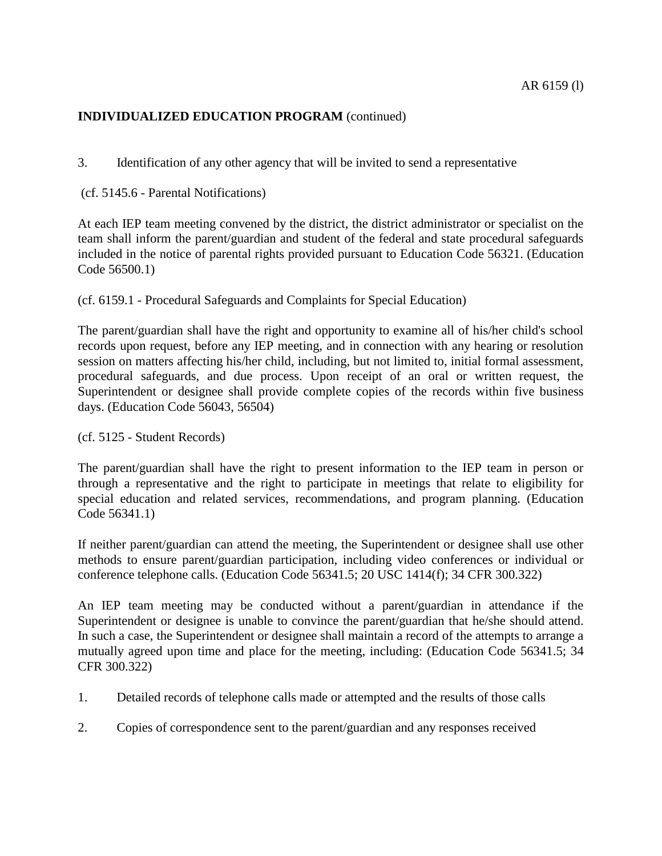3. Identification of any other agency that will be invited to send a representative

(cf. [5145.6](http://www.gamutonline.net/displayPolicy/222839/6) - Parental Notifications)

At each IEP team meeting convened by the district, the district administrator or specialist on the team shall inform the parent/guardian and student of the federal and state procedural safeguards included in the notice of parental rights provided pursuant to Education Code [56321.](http://www.gamutonline.net/displayPolicy/133454/6) (Education Code [56500.1\)](http://www.gamutonline.net/displayPolicy/133531/6)

(cf. [6159.1](http://www.gamutonline.net/displayPolicy/171591/6) - Procedural Safeguards and Complaints for Special Education)

The parent/guardian shall have the right and opportunity to examine all of his/her child's school records upon request, before any IEP meeting, and in connection with any hearing or resolution session on matters affecting his/her child, including, but not limited to, initial formal assessment, procedural safeguards, and due process. Upon receipt of an oral or written request, the Superintendent or designee shall provide complete copies of the records within five business days. (Education Code [56043,](http://www.gamutonline.net/displayPolicy/388012/6) [56504\)](http://www.gamutonline.net/displayPolicy/133536/6)

(cf. [5125](http://www.gamutonline.net/displayPolicy/559084/6) - Student Records)

The parent/guardian shall have the right to present information to the IEP team in person or through a representative and the right to participate in meetings that relate to eligibility for special education and related services, recommendations, and program planning. (Education Code [56341.1\)](http://www.gamutonline.net/displayPolicy/249036/6)

If neither parent/guardian can attend the meeting, the Superintendent or designee shall use other methods to ensure parent/guardian participation, including video conferences or individual or conference telephone calls. (Education Code [56341.5;](http://www.gamutonline.net/displayPolicy/138032/6) 20 USC [1414\(](http://www.gamutonline.net/displayPolicy/364373/6)f); 34 CFR [300.322\)](http://www.gamutonline.net/displayPolicy/421114/6)

An IEP team meeting may be conducted without a parent/guardian in attendance if the Superintendent or designee is unable to convince the parent/guardian that he/she should attend. In such a case, the Superintendent or designee shall maintain a record of the attempts to arrange a mutually agreed upon time and place for the meeting, including: (Education Code [56341.5;](http://www.gamutonline.net/displayPolicy/138032/6) 34 CFR [300.322\)](http://www.gamutonline.net/displayPolicy/421114/6)

- 1. Detailed records of telephone calls made or attempted and the results of those calls
- 2. Copies of correspondence sent to the parent/guardian and any responses received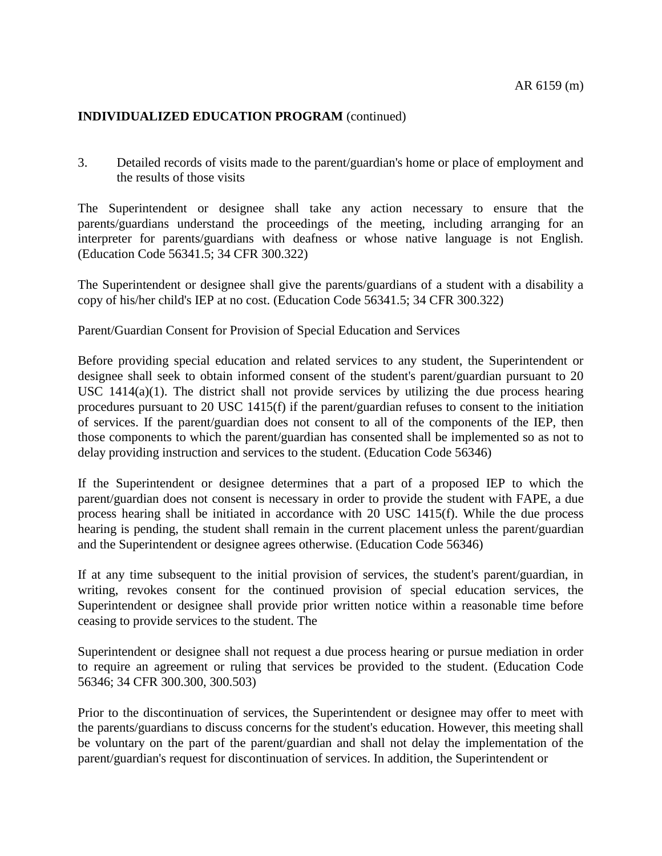3. Detailed records of visits made to the parent/guardian's home or place of employment and the results of those visits

The Superintendent or designee shall take any action necessary to ensure that the parents/guardians understand the proceedings of the meeting, including arranging for an interpreter for parents/guardians with deafness or whose native language is not English. (Education Code [56341.5;](http://www.gamutonline.net/displayPolicy/138032/6) 34 CFR [300.322\)](http://www.gamutonline.net/displayPolicy/421114/6)

The Superintendent or designee shall give the parents/guardians of a student with a disability a copy of his/her child's IEP at no cost. (Education Code [56341.5;](http://www.gamutonline.net/displayPolicy/138032/6) 34 CFR [300.322\)](http://www.gamutonline.net/displayPolicy/421114/6)

Parent/Guardian Consent for Provision of Special Education and Services

Before providing special education and related services to any student, the Superintendent or designee shall seek to obtain informed consent of the student's parent/guardian pursuant to 20 USC [1414\(](http://www.gamutonline.net/displayPolicy/364373/6)a)(1). The district shall not provide services by utilizing the due process hearing procedures pursuant to 20 USC [1415\(](http://www.gamutonline.net/displayPolicy/364374/6)f) if the parent/guardian refuses to consent to the initiation of services. If the parent/guardian does not consent to all of the components of the IEP, then those components to which the parent/guardian has consented shall be implemented so as not to delay providing instruction and services to the student. (Education Code [56346\)](http://www.gamutonline.net/displayPolicy/133473/6)

If the Superintendent or designee determines that a part of a proposed IEP to which the parent/guardian does not consent is necessary in order to provide the student with FAPE, a due process hearing shall be initiated in accordance with 20 USC [1415\(](http://www.gamutonline.net/displayPolicy/364374/6)f). While the due process hearing is pending, the student shall remain in the current placement unless the parent/guardian and the Superintendent or designee agrees otherwise. (Education Code [56346\)](http://www.gamutonline.net/displayPolicy/133473/6)

If at any time subsequent to the initial provision of services, the student's parent/guardian, in writing, revokes consent for the continued provision of special education services, the Superintendent or designee shall provide prior written notice within a reasonable time before ceasing to provide services to the student. The

Superintendent or designee shall not request a due process hearing or pursue mediation in order to require an agreement or ruling that services be provided to the student. (Education Code [56346;](http://www.gamutonline.net/displayPolicy/133473/6) 34 CFR [300.300,](http://www.gamutonline.net/displayPolicy/421100/6) [300.503\)](http://www.gamutonline.net/displayPolicy/421123/6)

Prior to the discontinuation of services, the Superintendent or designee may offer to meet with the parents/guardians to discuss concerns for the student's education. However, this meeting shall be voluntary on the part of the parent/guardian and shall not delay the implementation of the parent/guardian's request for discontinuation of services. In addition, the Superintendent or